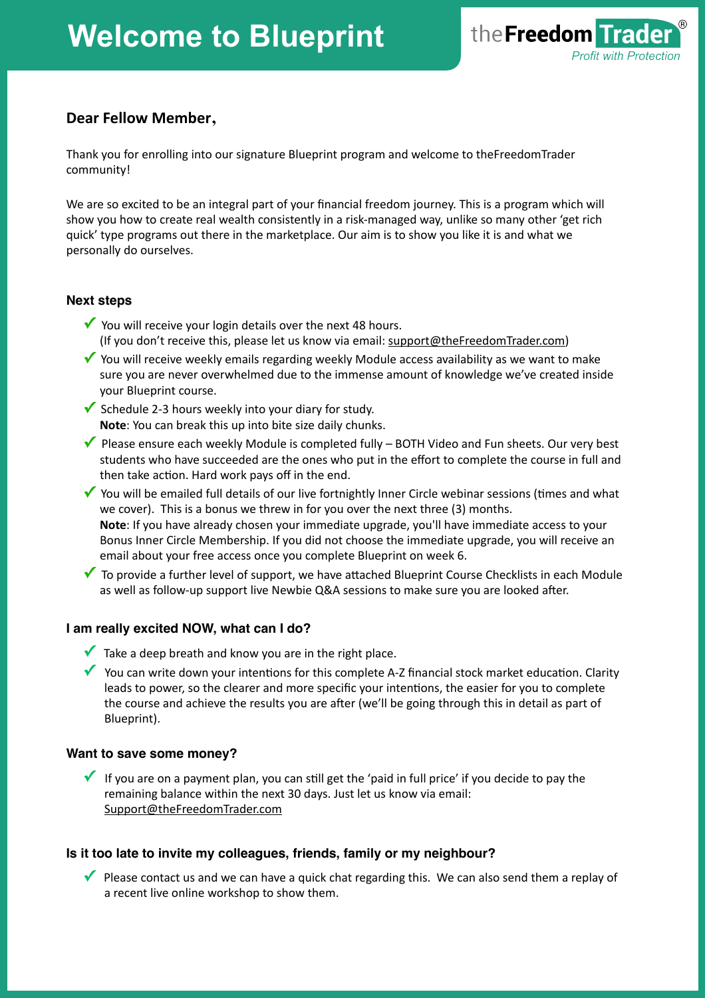# **Welcome to Blueprint**



## **Dear Fellow Member,**

Thank you for enrolling into our signature Blueprint program and welcome to theFreedomTrader community! 

We are so excited to be an integral part of your financial freedom journey. This is a program which will show you how to create real wealth consistently in a risk-managed way, unlike so many other 'get rich quick' type programs out there in the marketplace. Our aim is to show you like it is and what we personally do ourselves.

## **Next steps**

- ◆ You will receive your login details over the next 48 hours. (If you don't receive this, please let us know via email: support@theFreedomTrader.com)
- ◆ You will receive weekly emails regarding weekly Module access availability as we want to make sure you are never overwhelmed due to the immense amount of knowledge we've created inside your Blueprint course.
- ◆ Schedule 2-3 hours weekly into your diary for study. **Note:** You can break this up into bite size daily chunks.
- ▼ Please ensure each weekly Module is completed fully BOTH Video and Fun sheets. Our very best students who have succeeded are the ones who put in the effort to complete the course in full and then take action. Hard work pays off in the end.
- ◆ You will be emailed full details of our live fortnightly Inner Circle webinar sessions (times and what we cover). This is a bonus we threw in for you over the next three (3) months. Note: If you have already chosen your immediate upgrade, you'll have immediate access to your Bonus Inner Circle Membership. If you did not choose the immediate upgrade, you will receive an email about your free access once you complete Blueprint on week 6.
- ▼ To provide a further level of support, we have attached Blueprint Course Checklists in each Module as well as follow-up support live Newbie Q&A sessions to make sure you are looked after.

## **I am really excited NOW, what can I do?**

- $\checkmark$  Take a deep breath and know you are in the right place.
- **▼** You can write down your intentions for this complete A-Z financial stock market education. Clarity leads to power, so the clearer and more specific your intentions, the easier for you to complete the course and achieve the results you are after (we'll be going through this in detail as part of Blueprint).

## **Want to save some money?**

 $\checkmark$  If you are on a payment plan, you can still get the 'paid in full price' if you decide to pay the remaining balance within the next 30 days. Just let us know via email: Support@theFreedomTrader.com

## **Is it too late to invite my colleagues, friends, family or my neighbour?**

 $\checkmark$  Please contact us and we can have a quick chat regarding this. We can also send them a replay of a recent live online workshop to show them.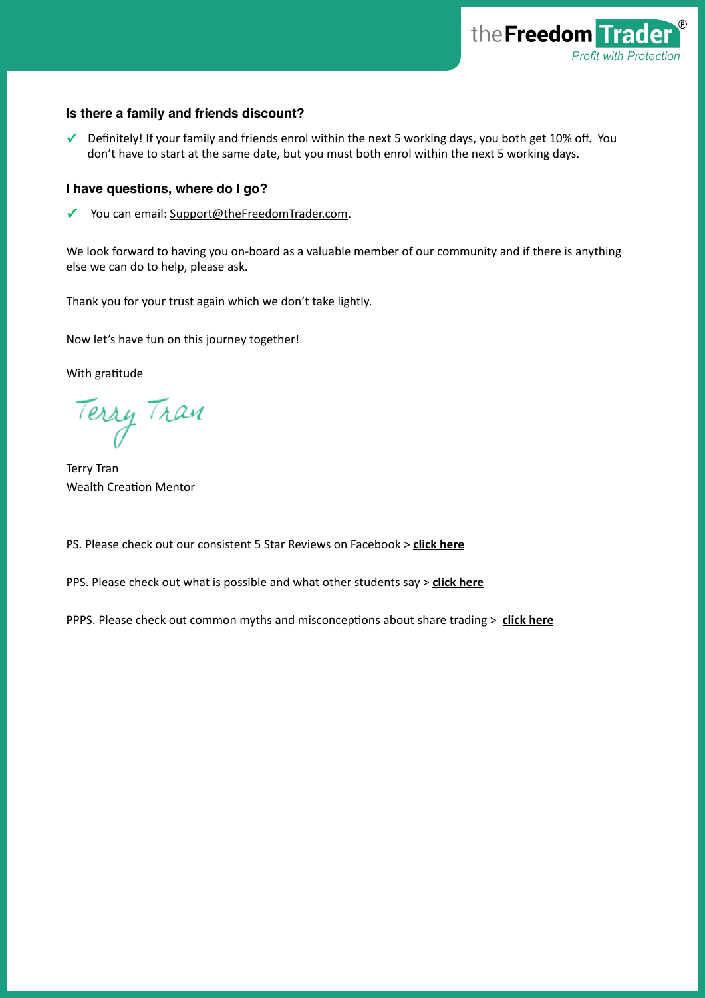

#### **Is there a family and friends discount?**

**✓** Definitely! If your family and friends enrol within the next 5 working days, you both get 10% off. You don't have to start at the same date, but you must both enrol within the next 5 working days.

#### **I have questions, where do I go?**

**✓** You can email: Support@theFreedomTrader.com.

We look forward to having you on-board as a valuable member of our community and if there is anything else we can do to help, please ask.

Thank you for your trust again which we don't take lightly.

Now let's have fun on this journey together!

With gratitude

Terry Tran

Terry Tran Wealth Creation Mentor

PS. Please check out our consistent 5 Star Reviews on Facebook > **click here** 

PPS. Please check out what is possible and what other students say > **click here** 

PPPS. Please check out common myths and misconceptions about share trading > click here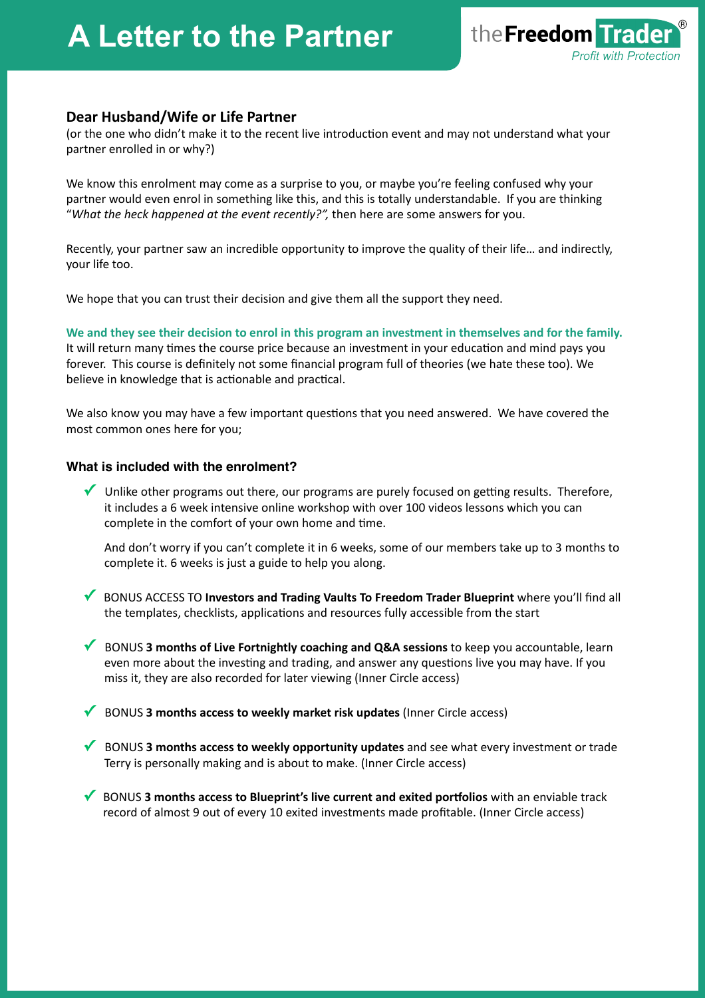## **A Letter to the Partner**



### Dear Husband/Wife or Life Partner

(or the one who didn't make it to the recent live introduction event and may not understand what your partner enrolled in or why?)

We know this enrolment may come as a surprise to you, or maybe you're feeling confused why your partner would even enrol in something like this, and this is totally understandable. If you are thinking "What the heck happened at the event recently?", then here are some answers for you.

Recently, your partner saw an incredible opportunity to improve the quality of their life... and indirectly, your life too.

We hope that you can trust their decision and give them all the support they need.

We and they see their decision to enrol in this program an investment in themselves and for the family. It will return many times the course price because an investment in your education and mind pays you forever. This course is definitely not some financial program full of theories (we hate these too). We believe in knowledge that is actionable and practical.

We also know you may have a few important questions that you need answered. We have covered the most common ones here for you;

#### **What is included with the enrolment?**

◆ Unlike other programs out there, our programs are purely focused on getting results. Therefore, it includes a 6 week intensive online workshop with over 100 videos lessons which you can complete in the comfort of your own home and time.

And don't worry if you can't complete it in 6 weeks, some of our members take up to 3 months to complete it. 6 weeks is just a guide to help you along.

- **✓** BONUS ACCESS TO **Investors and Trading Vaults To Freedom Trader Blueprint** where you'll find all the templates, checklists, applications and resources fully accessible from the start
- ◆ BONUS 3 months of Live Fortnightly coaching and Q&A sessions to keep you accountable, learn even more about the investing and trading, and answer any questions live you may have. If you miss it, they are also recorded for later viewing (Inner Circle access)
- ◆ BONUS 3 months access to weekly market risk updates (Inner Circle access)
- ◆ BONUS **3 months access to weekly opportunity updates** and see what every investment or trade Terry is personally making and is about to make. (Inner Circle access)
- ◆ BONUS **3** months access to Blueprint's live current and exited portfolios with an enviable track record of almost 9 out of every 10 exited investments made profitable. (Inner Circle access)